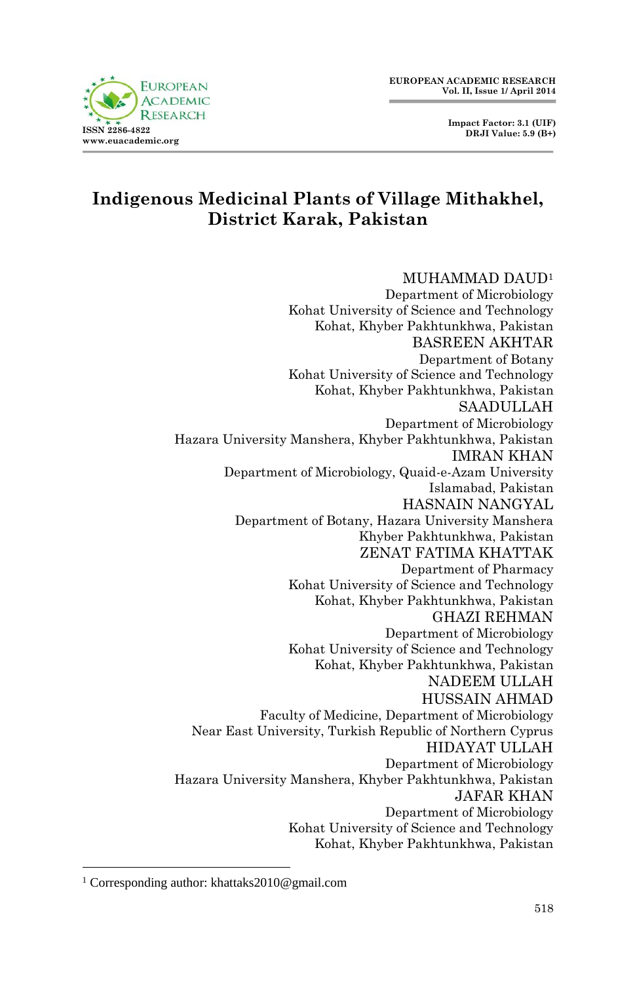

# **Indigenous Medicinal Plants of Village Mithakhel, District Karak, Pakistan**

#### MUHAMMAD DAUD<sup>1</sup>

Department of Microbiology Kohat University of Science and Technology Kohat, Khyber Pakhtunkhwa, Pakistan BASREEN AKHTAR Department of Botany Kohat University of Science and Technology Kohat, Khyber Pakhtunkhwa, Pakistan SAADULLAH Department of Microbiology Hazara University Manshera, Khyber Pakhtunkhwa, Pakistan IMRAN KHAN Department of Microbiology, Quaid-e-Azam University Islamabad, Pakistan HASNAIN NANGYAL Department of Botany, Hazara University Manshera Khyber Pakhtunkhwa, Pakistan ZENAT FATIMA KHATTAK Department of Pharmacy Kohat University of Science and Technology Kohat, Khyber Pakhtunkhwa, Pakistan GHAZI REHMAN Department of Microbiology Kohat University of Science and Technology Kohat, Khyber Pakhtunkhwa, Pakistan NADEEM ULLAH HUSSAIN AHMAD Faculty of Medicine, Department of Microbiology Near East University, Turkish Republic of Northern Cyprus HIDAYAT ULLAH Department of Microbiology Hazara University Manshera, Khyber Pakhtunkhwa, Pakistan JAFAR KHAN Department of Microbiology Kohat University of Science and Technology Kohat, Khyber Pakhtunkhwa, Pakistan

-

<sup>&</sup>lt;sup>1</sup> Corresponding author: khattaks2010@gmail.com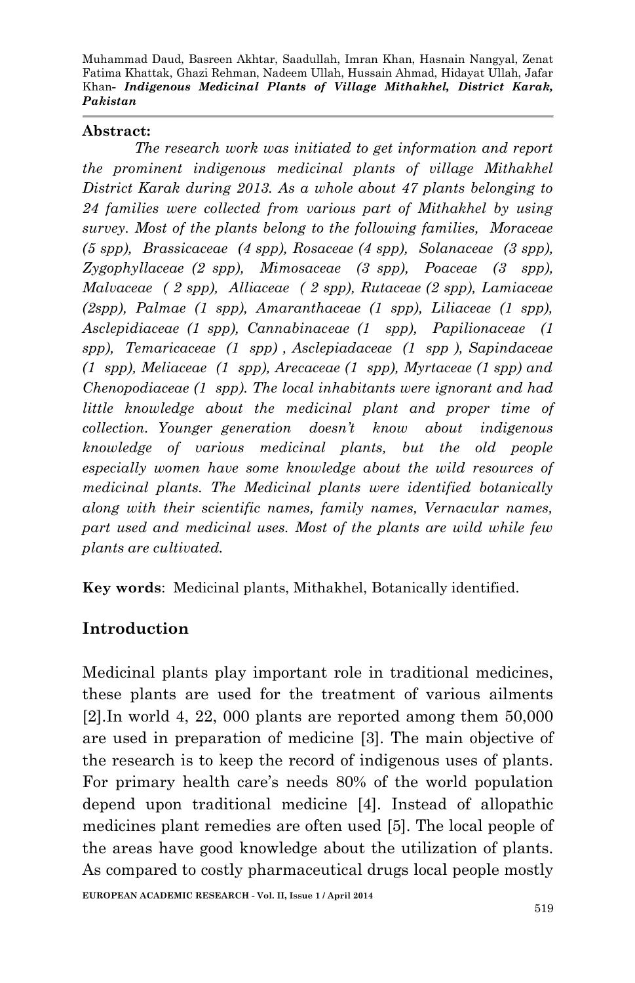#### **Abstract:**

*The research work was initiated to get information and report the prominent indigenous medicinal plants of village Mithakhel District Karak during 2013. As a whole about 47 plants belonging to 24 families were collected from various part of Mithakhel by using survey. Most of the plants belong to the following families, Moraceae (5 spp), Brassicaceae (4 spp), Rosaceae (4 spp), Solanaceae (3 spp), Zygophyllaceae (2 spp), Mimosaceae (3 spp), Poaceae (3 spp), Malvaceae ( 2 spp), Alliaceae ( 2 spp), Rutaceae (2 spp), Lamiaceae (2spp), Palmae (1 spp), Amaranthaceae (1 spp), Liliaceae (1 spp), Asclepidiaceae (1 spp), Cannabinaceae (1 spp), Papilionaceae (1 spp), Temaricaceae (1 spp) , Asclepiadaceae (1 spp ), Sapindaceae (1 spp), Meliaceae (1 spp), Arecaceae (1 spp), Myrtaceae (1 spp) and Chenopodiaceae (1 spp). The local inhabitants were ignorant and had little knowledge about the medicinal plant and proper time of collection. Younger generation doesn't know about indigenous knowledge of various medicinal plants, but the old people especially women have some knowledge about the wild resources of medicinal plants. The Medicinal plants were identified botanically along with their scientific names, family names, Vernacular names, part used and medicinal uses. Most of the plants are wild while few plants are cultivated.* 

**Key words**: Medicinal plants, Mithakhel, Botanically identified.

## **Introduction**

Medicinal plants play important role in traditional medicines, these plants are used for the treatment of various ailments [2].In world 4, 22, 000 plants are reported among them 50,000 are used in preparation of medicine [3]. The main objective of the research is to keep the record of indigenous uses of plants. For primary health care's needs 80% of the world population depend upon traditional medicine [4]. Instead of allopathic medicines plant remedies are often used [5]. The local people of the areas have good knowledge about the utilization of plants. As compared to costly pharmaceutical drugs local people mostly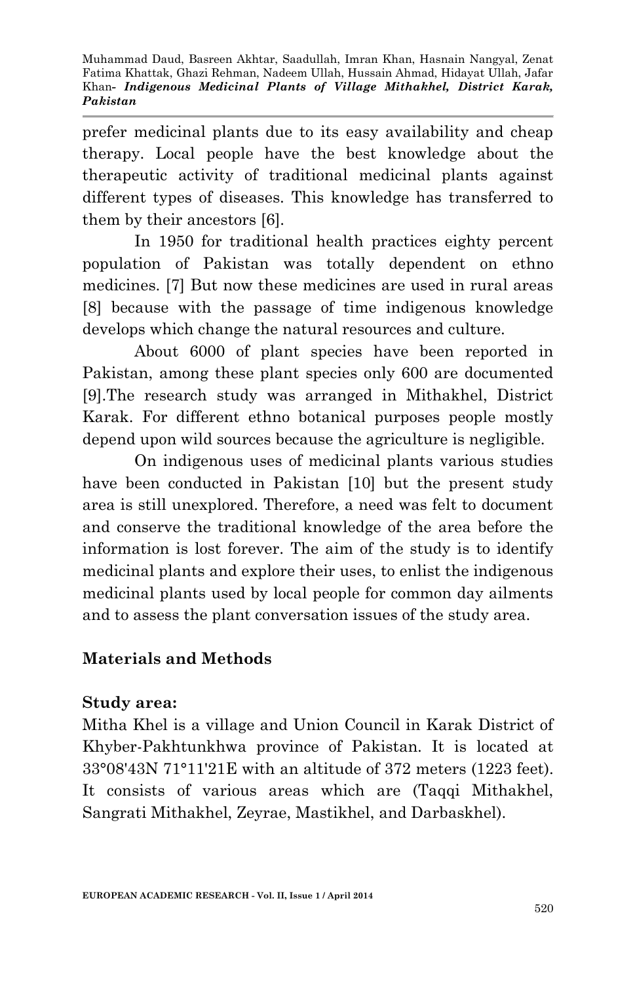prefer medicinal plants due to its easy availability and cheap therapy. Local people have the best knowledge about the therapeutic activity of traditional medicinal plants against different types of diseases. This knowledge has transferred to them by their ancestors [6].

In 1950 for traditional health practices eighty percent population of Pakistan was totally dependent on ethno medicines. [7] But now these medicines are used in rural areas [8] because with the passage of time indigenous knowledge develops which change the natural resources and culture.

About 6000 of plant species have been reported in Pakistan, among these plant species only 600 are documented [9].The research study was arranged in Mithakhel, District Karak. For different ethno botanical purposes people mostly depend upon wild sources because the agriculture is negligible.

On indigenous uses of medicinal plants various studies have been conducted in Pakistan [10] but the present study area is still unexplored. Therefore, a need was felt to document and conserve the traditional knowledge of the area before the information is lost forever. The aim of the study is to identify medicinal plants and explore their uses, to enlist the indigenous medicinal plants used by local people for common day ailments and to assess the plant conversation issues of the study area.

#### **Materials and Methods**

#### **Study area:**

Mitha Khel is a village and Union Council in Karak District of Khyber-Pakhtunkhwa province of Pakistan. It is located at 33°08'43N 71°11'21E with an altitude of 372 meters (1223 feet). It consists of various areas which are (Taqqi Mithakhel, Sangrati Mithakhel, Zeyrae, Mastikhel, and Darbaskhel).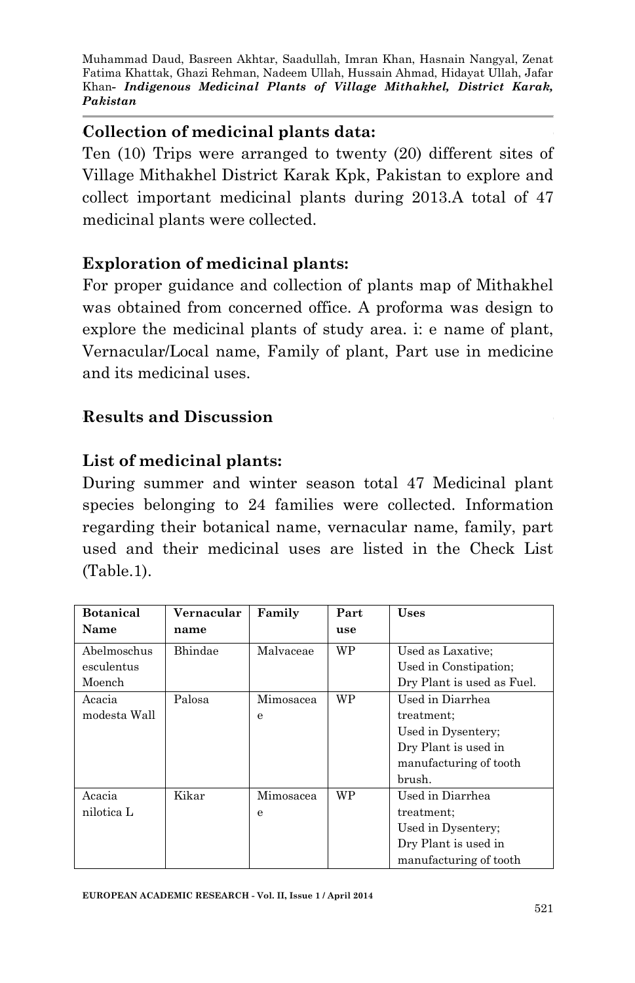## **Collection of medicinal plants data:**

Ten (10) Trips were arranged to twenty (20) different sites of Village Mithakhel District Karak Kpk, Pakistan to explore and collect important medicinal plants during 2013.A total of 47 medicinal plants were collected.

## **Exploration of medicinal plants:**

For proper guidance and collection of plants map of Mithakhel was obtained from concerned office. A proforma was design to explore the medicinal plants of study area. i: e name of plant, Vernacular/Local name, Family of plant, Part use in medicine and its medicinal uses.

## **Results and Discussion**

## **List of medicinal plants:**

During summer and winter season total 47 Medicinal plant species belonging to 24 families were collected. Information regarding their botanical name, vernacular name, family, part used and their medicinal uses are listed in the Check List (Table.1).

| <b>Botanical</b> | Vernacular | Family    | Part      | <b>Uses</b>                |
|------------------|------------|-----------|-----------|----------------------------|
| Name             | name       |           | use       |                            |
| Abelmoschus      | Bhindae    | Malvaceae | <b>WP</b> | Used as Laxative;          |
| esculentus       |            |           |           | Used in Constipation;      |
| Moench           |            |           |           | Dry Plant is used as Fuel. |
| Acacia           | Palosa     | Mimosacea | <b>WP</b> | Used in Diarrhea           |
| modesta Wall     |            | е         |           | treatment;                 |
|                  |            |           |           | Used in Dysentery;         |
|                  |            |           |           | Dry Plant is used in       |
|                  |            |           |           | manufacturing of tooth     |
|                  |            |           |           | brush.                     |
| Acacia           | Kikar      | Mimosacea | WP        | Used in Diarrhea           |
| nilotica L       |            | e         |           | treatment;                 |
|                  |            |           |           | Used in Dysentery;         |
|                  |            |           |           | Dry Plant is used in       |
|                  |            |           |           | manufacturing of tooth     |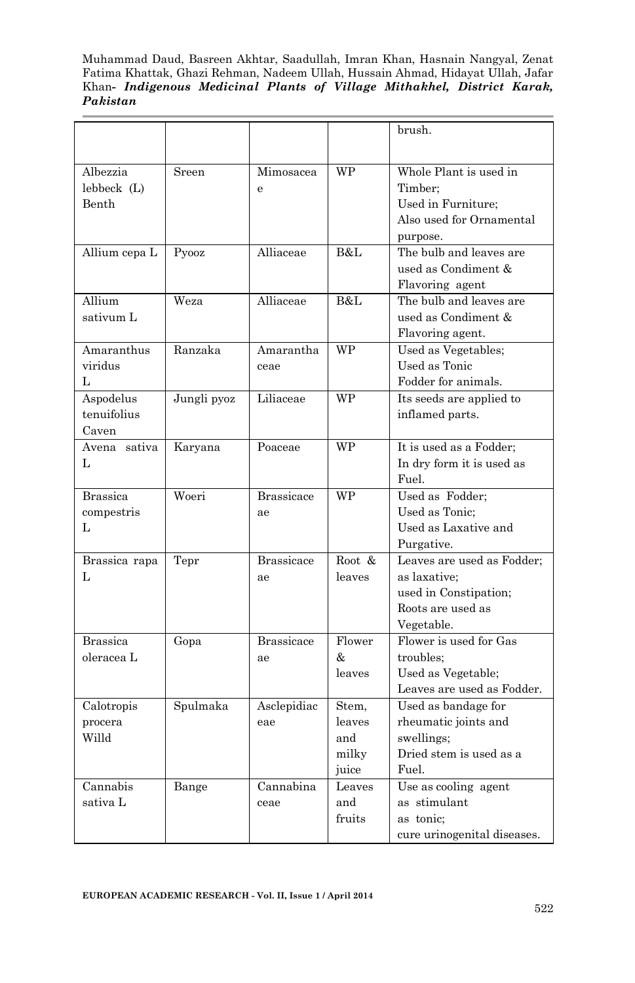|                 |             |                   |           | brush.                      |
|-----------------|-------------|-------------------|-----------|-----------------------------|
|                 |             |                   |           |                             |
| Albezzia        | Sreen       | Mimosacea         | <b>WP</b> | Whole Plant is used in      |
| lebbeck (L)     |             | e                 |           | Timber:                     |
| Benth           |             |                   |           | Used in Furniture;          |
|                 |             |                   |           | Also used for Ornamental    |
|                 |             |                   | B&L       | purpose.                    |
| Allium cepa L   | Pyooz       | Alliaceae         |           | The bulb and leaves are     |
|                 |             |                   |           | used as Condiment &         |
|                 |             |                   |           | Flavoring agent             |
| Allium          | Weza        | Alliaceae         | B&L       | The bulb and leaves are     |
| sativum L       |             |                   |           | used as Condiment &         |
|                 |             |                   |           | Flavoring agent.            |
| Amaranthus      | Ranzaka     | Amarantha         | WP        | Used as Vegetables;         |
| viridus         |             | ceae              |           | Used as Tonic               |
| L               |             |                   |           | Fodder for animals.         |
| Aspodelus       | Jungli pyoz | Liliaceae         | WP        | Its seeds are applied to    |
| tenuifolius     |             |                   |           | inflamed parts.             |
| Caven           |             |                   |           |                             |
| Avena sativa    | Karyana     | Poaceae           | <b>WP</b> | It is used as a Fodder;     |
| L               |             |                   |           | In dry form it is used as   |
|                 |             |                   |           | Fuel.                       |
| <b>Brassica</b> | Woeri       | <b>Brassicace</b> | <b>WP</b> | Used as Fodder;             |
| compestris      |             | ae                |           | Used as Tonic:              |
| L               |             |                   |           | Used as Laxative and        |
|                 |             |                   |           | Purgative.                  |
| Brassica rapa   | Tepr        | <b>Brassicace</b> | Root &    | Leaves are used as Fodder;  |
| L               |             | ae                | leaves    | as laxative;                |
|                 |             |                   |           | used in Constipation;       |
|                 |             |                   |           | Roots are used as           |
|                 |             |                   |           | Vegetable.                  |
| <b>Brassica</b> | Gopa        | <b>Brassicace</b> | Flower    | Flower is used for Gas      |
| oleracea L      |             | ae                | &.        | troubles;                   |
|                 |             |                   | leaves    | Used as Vegetable;          |
|                 |             |                   |           | Leaves are used as Fodder.  |
| Calotropis      | Spulmaka    | Asclepidiac       | Stem,     | Used as bandage for         |
| procera         |             | eae               | leaves    | rheumatic joints and        |
| Willd           |             |                   | and       | swellings;                  |
|                 |             |                   | milky     | Dried stem is used as a     |
|                 |             |                   | juice     | Fuel.                       |
| Cannabis        | Bange       | Cannabina         | Leaves    | Use as cooling agent        |
| sativa L        |             | ceae              | and       | as stimulant                |
|                 |             |                   | fruits    | as tonic:                   |
|                 |             |                   |           | cure urinogenital diseases. |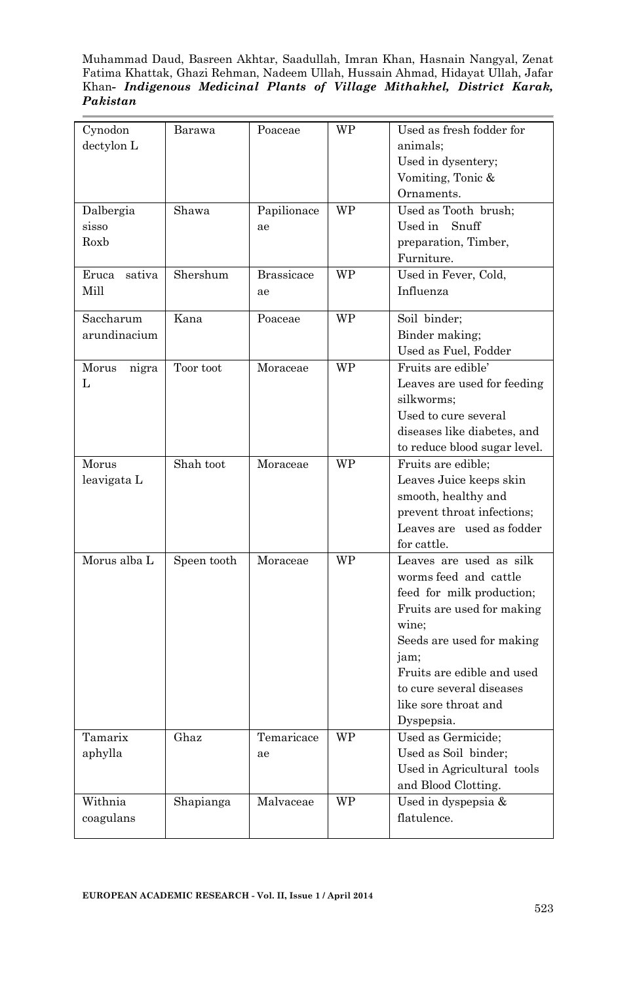Muhammad Daud, Basreen Akhtar, Saadullah, Imran Khan, Hasnain Nangyal, Zenat Fatima Khattak, Ghazi Rehman, Nadeem Ullah, Hussain Ahmad, Hidayat Ullah, Jafar Khan*- Indigenous Medicinal Plants of Village Mithakhel, District Karak, Pakistan* 

| Cynodon         | Barawa      | Poaceae           | WP        | Used as fresh fodder for                          |
|-----------------|-------------|-------------------|-----------|---------------------------------------------------|
| dectylon L      |             |                   |           | animals:                                          |
|                 |             |                   |           | Used in dysentery;                                |
|                 |             |                   |           | Vomiting, Tonic &                                 |
|                 |             |                   |           | Ornaments.                                        |
| Dalbergia       | Shawa       | Papilionace       | WP        | Used as Tooth brush;                              |
| sisso           |             | ae                |           | $\boldsymbol{\mathrm{U}\mathrm{sed}}$ in<br>Snuff |
| Roxb            |             |                   |           | preparation, Timber,                              |
|                 |             |                   |           | Furniture.                                        |
| sativa<br>Eruca | Shershum    | <b>Brassicace</b> | WP        | Used in Fever, Cold,                              |
| Mill            |             | ae                |           | Influenza                                         |
|                 |             |                   |           |                                                   |
| Saccharum       | Kana        | Poaceae           | <b>WP</b> | Soil binder;                                      |
| arundinacium    |             |                   |           | Binder making;                                    |
|                 |             |                   |           | Used as Fuel, Fodder                              |
| Morus<br>nigra  | Toor toot   | Moraceae          | WP        | Fruits are edible'                                |
| L               |             |                   |           | Leaves are used for feeding                       |
|                 |             |                   |           | silkworms;                                        |
|                 |             |                   |           | Used to cure several                              |
|                 |             |                   |           | diseases like diabetes, and                       |
|                 |             |                   |           | to reduce blood sugar level.                      |
| Morus           | Shah toot   | Moraceae          | WP        | Fruits are edible;                                |
| leavigata L     |             |                   |           | Leaves Juice keeps skin                           |
|                 |             |                   |           | smooth, healthy and                               |
|                 |             |                   |           | prevent throat infections;                        |
|                 |             |                   |           | Leaves are used as fodder                         |
|                 |             |                   |           | for cattle.                                       |
| Morus alba L    | Speen tooth | Moraceae          | <b>WP</b> | Leaves are used as silk                           |
|                 |             |                   |           | worms feed and cattle                             |
|                 |             |                   |           | feed for milk production;                         |
|                 |             |                   |           | Fruits are used for making                        |
|                 |             |                   |           | wine:                                             |
|                 |             |                   |           | Seeds are used for making                         |
|                 |             |                   |           | jam:                                              |
|                 |             |                   |           | Fruits are edible and used                        |
|                 |             |                   |           | to cure several diseases                          |
|                 |             |                   |           | like sore throat and                              |
|                 |             |                   |           | Dyspepsia.                                        |
| Tamarix         | Ghaz        | Temaricace        | WP        | Used as Germicide;                                |
| aphylla         |             | ae                |           | Used as Soil binder;                              |
|                 |             |                   |           | Used in Agricultural tools                        |
|                 |             |                   |           | and Blood Clotting.                               |
| Withnia         | Shapianga   | Malvaceae         | WP        | Used in dyspepsia &                               |
| coagulans       |             |                   |           | flatulence.                                       |
|                 |             |                   |           |                                                   |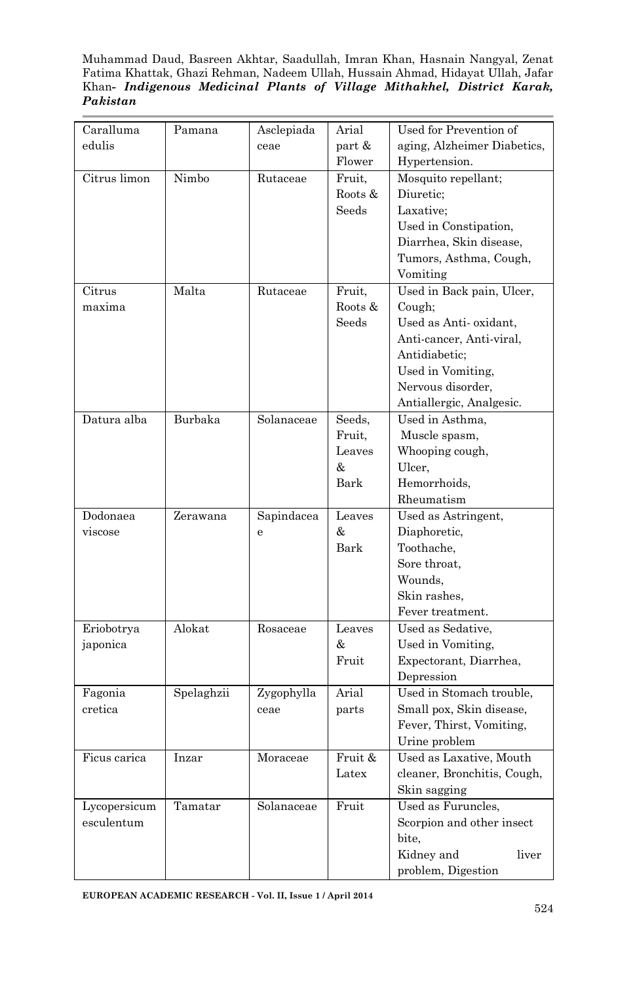Muhammad Daud, Basreen Akhtar, Saadullah, Imran Khan, Hasnain Nangyal, Zenat Fatima Khattak, Ghazi Rehman, Nadeem Ullah, Hussain Ahmad, Hidayat Ullah, Jafar Khan*- Indigenous Medicinal Plants of Village Mithakhel, District Karak, Pakistan* 

| Caralluma    | Pamana     | Asclepiada | Arial   | Used for Prevention of      |
|--------------|------------|------------|---------|-----------------------------|
| edulis       |            | ceae       | part &  | aging, Alzheimer Diabetics, |
|              |            |            | Flower  | Hypertension.               |
| Citrus limon | Nimbo      | Rutaceae   | Fruit,  | Mosquito repellant;         |
|              |            |            | Roots & | Diuretic;                   |
|              |            |            | Seeds   | Laxative;                   |
|              |            |            |         | Used in Constipation,       |
|              |            |            |         | Diarrhea, Skin disease,     |
|              |            |            |         | Tumors, Asthma, Cough,      |
|              |            |            |         | Vomiting                    |
| Citrus       | Malta      | Rutaceae   | Fruit,  | Used in Back pain, Ulcer,   |
| maxima       |            |            | Roots & | Cough;                      |
|              |            |            | Seeds   | Used as Anti-oxidant,       |
|              |            |            |         | Anti-cancer, Anti-viral,    |
|              |            |            |         | Antidiabetic;               |
|              |            |            |         | Used in Vomiting,           |
|              |            |            |         | Nervous disorder,           |
|              |            |            |         | Antiallergic, Analgesic.    |
| Datura alba  | Burbaka    | Solanaceae | Seeds,  | Used in Asthma,             |
|              |            |            | Fruit,  | Muscle spasm,               |
|              |            |            | Leaves  | Whooping cough,             |
|              |            |            | &       | Ulcer,                      |
|              |            |            | Bark    | Hemorrhoids,                |
|              |            |            |         | Rheumatism                  |
| Dodonaea     | Zerawana   | Sapindacea | Leaves  | Used as Astringent,         |
| viscose      |            | è          | &       | Diaphoretic,                |
|              |            |            | Bark    | Toothache,                  |
|              |            |            |         | Sore throat.                |
|              |            |            |         | Wounds,                     |
|              |            |            |         | Skin rashes.                |
|              |            |            |         | Fever treatment.            |
| Eriobotrya   | Alokat     | Rosaceae   | Leaves  | Used as Sedative,           |
| japonica     |            |            | &       | Used in Vomiting,           |
|              |            |            | Fruit   | Expectorant, Diarrhea,      |
|              |            |            |         | Depression                  |
| Fagonia      | Spelaghzii | Zygophylla | Arial   | Used in Stomach trouble,    |
| cretica      |            | ceae       | parts   | Small pox, Skin disease,    |
|              |            |            |         | Fever, Thirst, Vomiting,    |
|              |            |            |         | Urine problem               |
| Ficus carica | Inzar      | Moraceae   | Fruit & | Used as Laxative, Mouth     |
|              |            |            | Latex   | cleaner, Bronchitis, Cough, |
|              |            |            |         | Skin sagging                |
| Lycopersicum | Tamatar    | Solanaceae | Fruit   | Used as Furuncles,          |
| esculentum   |            |            |         | Scorpion and other insect   |
|              |            |            |         | bite,                       |
|              |            |            |         | Kidney and<br>liver         |
|              |            |            |         | problem, Digestion          |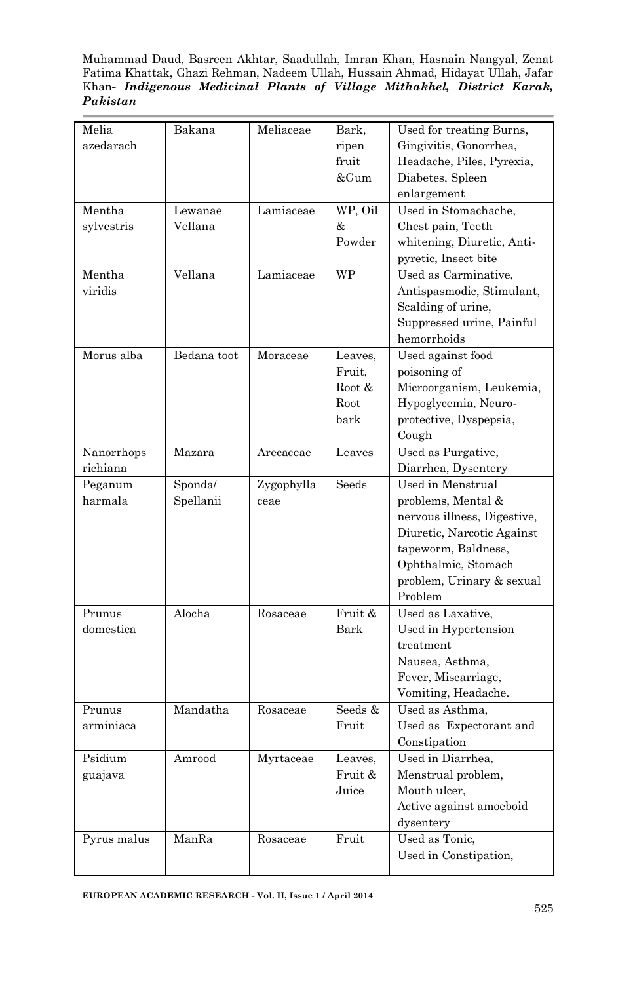Muhammad Daud, Basreen Akhtar, Saadullah, Imran Khan, Hasnain Nangyal, Zenat Fatima Khattak, Ghazi Rehman, Nadeem Ullah, Hussain Ahmad, Hidayat Ullah, Jafar Khan*- Indigenous Medicinal Plants of Village Mithakhel, District Karak, Pakistan* 

| Melia       | Bakana      | Meliaceae  | Bark,   | Used for treating Burns,    |
|-------------|-------------|------------|---------|-----------------------------|
| azedarach   |             |            | ripen   | Gingivitis, Gonorrhea,      |
|             |             |            | fruit   | Headache, Piles, Pyrexia,   |
|             |             |            | &Gum    | Diabetes, Spleen            |
|             |             |            |         | enlargement                 |
| Mentha      | Lewanae     | Lamiaceae  | WP, Oil | Used in Stomachache,        |
| sylvestris  | Vellana     |            | &       | Chest pain, Teeth           |
|             |             |            | Powder  | whitening, Diuretic, Anti-  |
|             |             |            |         | pyretic, Insect bite        |
| Mentha      | Vellana     | Lamiaceae  | WP      | Used as Carminative,        |
| viridis     |             |            |         | Antispasmodic, Stimulant,   |
|             |             |            |         | Scalding of urine,          |
|             |             |            |         | Suppressed urine, Painful   |
|             |             |            |         | hemorrhoids                 |
| Morus alba  | Bedana toot | Moraceae   | Leaves. | Used against food           |
|             |             |            | Fruit.  | poisoning of                |
|             |             |            | Root &  | Microorganism, Leukemia,    |
|             |             |            | Root    | Hypoglycemia, Neuro-        |
|             |             |            | bark    | protective, Dyspepsia,      |
|             |             |            |         | Cough                       |
| Nanorrhops  | Mazara      | Arecaceae  | Leaves  | Used as Purgative,          |
| richiana    |             |            |         | Diarrhea, Dysentery         |
| Peganum     | Sponda/     | Zygophylla | Seeds   | Used in Menstrual           |
| harmala     | Spellanii   | ceae       |         | problems, Mental &          |
|             |             |            |         | nervous illness, Digestive, |
|             |             |            |         | Diuretic, Narcotic Against  |
|             |             |            |         | tapeworm, Baldness,         |
|             |             |            |         | Ophthalmic, Stomach         |
|             |             |            |         | problem, Urinary & sexual   |
|             |             |            |         | Problem                     |
| Prunus      | Alocha      | Rosaceae   | Fruit & | Used as Laxative,           |
| domestica   |             |            | Bark    | Used in Hypertension        |
|             |             |            |         | treatment                   |
|             |             |            |         | Nausea, Asthma,             |
|             |             |            |         | Fever, Miscarriage,         |
|             |             |            |         | Vomiting, Headache.         |
| Prunus      | Mandatha    | Rosaceae   | Seeds & | Used as Asthma,             |
| arminiaca   |             |            | Fruit   | Used as Expectorant and     |
|             |             |            |         | Constipation                |
| Psidium     | Amrood      | Myrtaceae  | Leaves, | Used in Diarrhea.           |
| guajava     |             |            | Fruit & | Menstrual problem,          |
|             |             |            | Juice   | Mouth ulcer,                |
|             |             |            |         | Active against amoeboid     |
|             |             |            |         | dysentery                   |
| Pyrus malus | ManRa       | Rosaceae   | Fruit   | Used as Tonic.              |
|             |             |            |         | Used in Constipation,       |
|             |             |            |         |                             |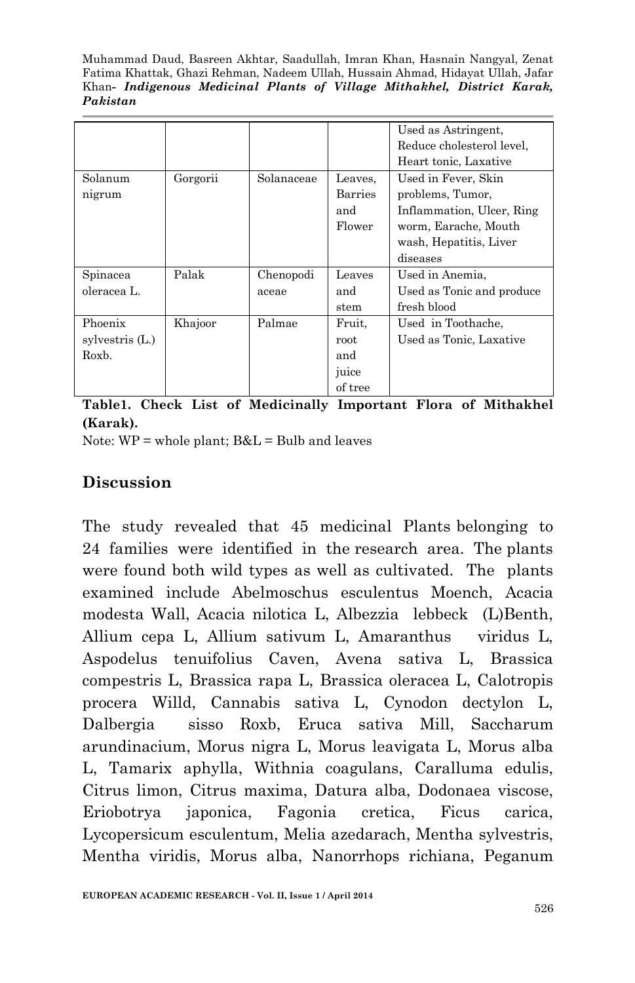|                  |          |            |                | Used as Astringent.       |
|------------------|----------|------------|----------------|---------------------------|
|                  |          |            |                | Reduce cholesterol level, |
|                  |          |            |                | Heart tonic, Laxative     |
| Solanum          | Gorgorii | Solanaceae | Leaves.        | Used in Fever, Skin       |
| nigrum           |          |            | <b>Barries</b> | problems, Tumor,          |
|                  |          |            | and            | Inflammation, Ulcer, Ring |
|                  |          |            | Flower         | worm, Earache, Mouth      |
|                  |          |            |                | wash, Hepatitis, Liver    |
|                  |          |            |                | diseases                  |
| Spinacea         | Palak    | Chenopodi  | Leaves         | Used in Anemia,           |
| oleracea L.      |          | aceae      | and            | Used as Tonic and produce |
|                  |          |            | stem           | fresh blood               |
| Phoenix          | Khajoor  | Palmae     | Fruit,         | Used in Toothache.        |
| sylvestris $(L)$ |          |            | root           | Used as Tonic, Laxative   |
| Roxb.            |          |            | and            |                           |
|                  |          |            | juice          |                           |
|                  |          |            | of tree        |                           |

**Table1. Check List of Medicinally Important Flora of Mithakhel (Karak).**

Note:  $WP =$  whole plant;  $B&L =$  Bulb and leaves

## **Discussion**

The study revealed that 45 medicinal Plants belonging to 24 families were identified in the research area. The plants were found both wild types as well as cultivated. The plants examined include Abelmoschus esculentus Moench, Acacia modesta Wall, Acacia nilotica L, Albezzia lebbeck (L)Benth, Allium cepa L, Allium sativum L, Amaranthus viridus L, Aspodelus tenuifolius Caven, Avena sativa L, Brassica compestris L, Brassica rapa L, Brassica oleracea L, Calotropis procera Willd, Cannabis sativa L, Cynodon dectylon L, Dalbergia sisso Roxb, Eruca sativa Mill, Saccharum arundinacium, Morus nigra L, Morus leavigata L, Morus alba L, Tamarix aphylla, Withnia coagulans, Caralluma edulis, Citrus limon, Citrus maxima, Datura alba, Dodonaea viscose, Eriobotrya japonica, Fagonia cretica, Ficus carica, Lycopersicum esculentum, Melia azedarach, Mentha sylvestris, Mentha viridis, Morus alba, Nanorrhops richiana, Peganum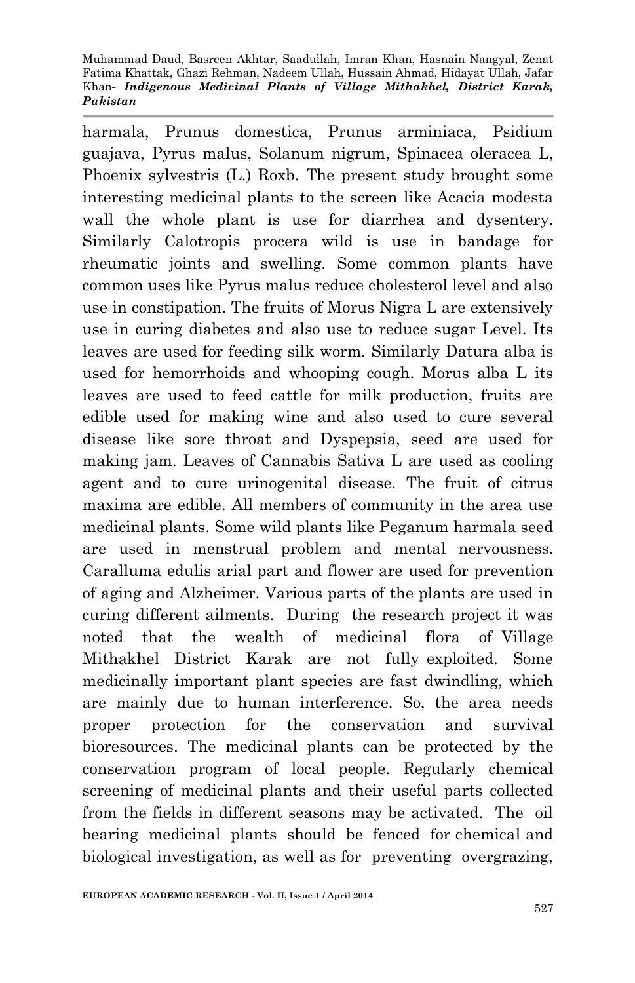harmala, Prunus domestica, Prunus arminiaca, Psidium guajava, Pyrus malus, Solanum nigrum, Spinacea oleracea L, Phoenix sylvestris (L.) Roxb. The present study brought some interesting medicinal plants to the screen like Acacia modesta wall the whole plant is use for diarrhea and dysentery. Similarly Calotropis procera wild is use in bandage for rheumatic joints and swelling. Some common plants have common uses like Pyrus malus reduce cholesterol level and also use in constipation. The fruits of Morus Nigra L are extensively use in curing diabetes and also use to reduce sugar Level. Its leaves are used for feeding silk worm. Similarly Datura alba is used for hemorrhoids and whooping cough. Morus alba L its leaves are used to feed cattle for milk production, fruits are edible used for making wine and also used to cure several disease like sore throat and Dyspepsia, seed are used for making jam. Leaves of Cannabis Sativa L are used as cooling agent and to cure urinogenital disease. The fruit of citrus maxima are edible. All members of community in the area use medicinal plants. Some wild plants like Peganum harmala seed are used in menstrual problem and mental nervousness. Caralluma edulis arial part and flower are used for prevention of aging and Alzheimer. Various parts of the plants are used in curing different ailments. During the research project it was noted that the wealth of medicinal flora of Village Mithakhel District Karak are not fully exploited. Some medicinally important plant species are fast dwindling, which are mainly due to human interference. So, the area needs proper protection for the conservation and survival bioresources. The medicinal plants can be protected by the conservation program of local people. Regularly chemical screening of medicinal plants and their useful parts collected from the fields in different seasons may be activated. The oil bearing medicinal plants should be fenced for chemical and biological investigation, as well as for preventing overgrazing,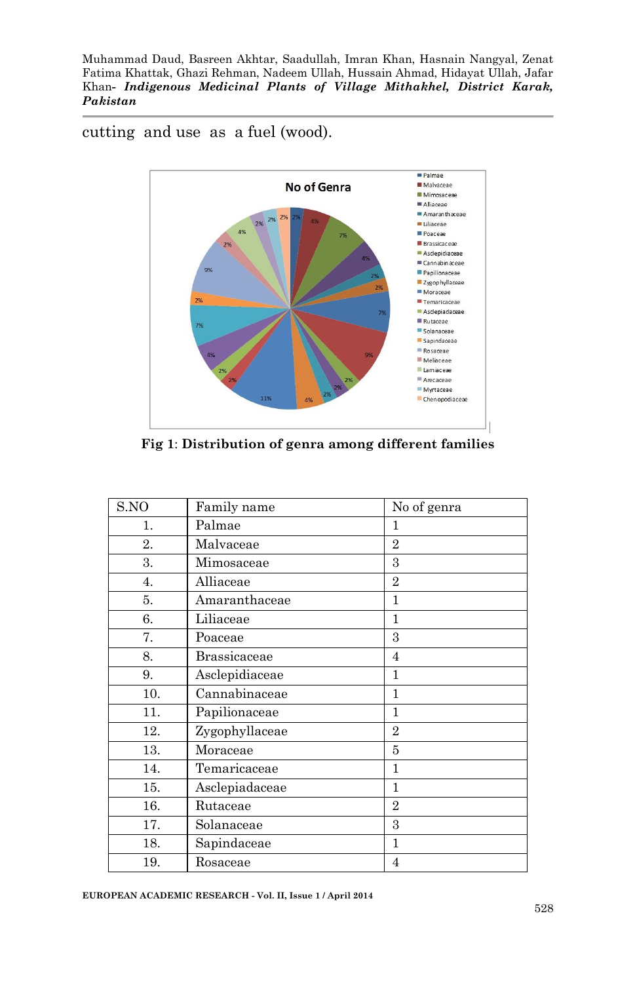cutting and use as a fuel (wood).



**Fig 1**: **Distribution of genra among different families**

| S.NO | Family name         | No of genra    |
|------|---------------------|----------------|
| 1.   | Palmae              | 1              |
| 2.   | Malvaceae           | $\overline{2}$ |
| 3.   | Mimosaceae          | 3              |
| 4.   | Alliaceae           | $\overline{2}$ |
| 5.   | Amaranthaceae       | 1              |
| 6.   | Liliaceae           | 1              |
| 7.   | Poaceae             | 3              |
| 8.   | <b>Brassicaceae</b> | 4              |
| 9.   | Asclepidiaceae      | 1              |
| 10.  | Cannabinaceae       | 1              |
| 11.  | Papilionaceae       | 1              |
| 12.  | Zygophyllaceae      | $\overline{2}$ |
| 13.  | Moraceae            | 5              |
| 14.  | Temaricaceae        | 1              |
| 15.  | Asclepiadaceae      | 1              |
| 16.  | Rutaceae            | $\overline{2}$ |
| 17.  | Solanaceae          | 3              |
| 18.  | Sapindaceae         | 1              |
| 19.  | Rosaceae            | 4              |

**EUROPEAN ACADEMIC RESEARCH - Vol. II, Issue 1 / April 2014**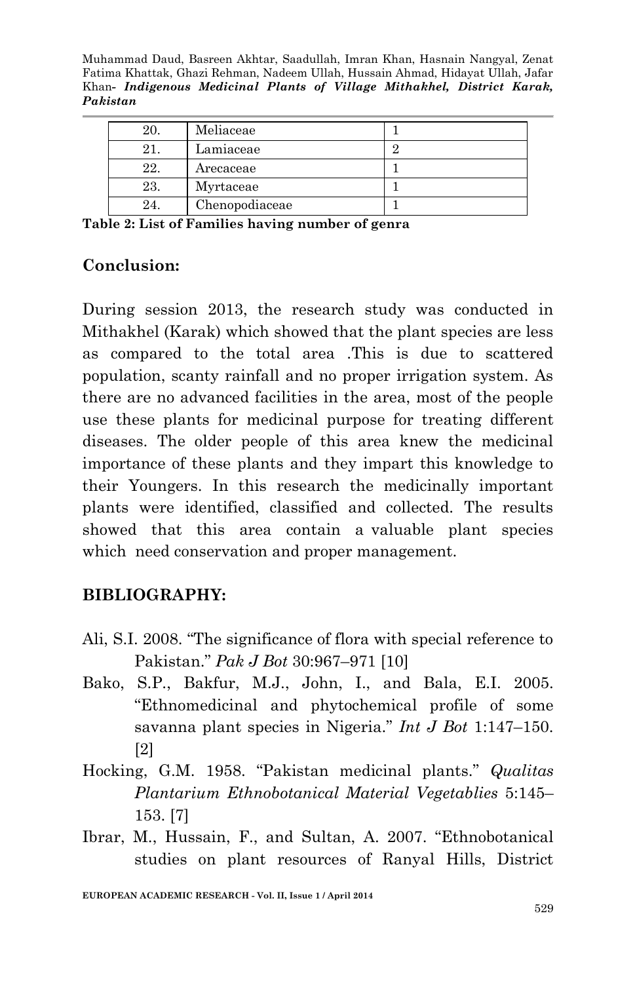| 20. | Meliaceae      |   |
|-----|----------------|---|
|     | Lamiaceae      | c |
| 22. | Arecaceae      |   |
| 23. | Myrtaceae      |   |
| 24. | Chenopodiaceae |   |

**Table 2: List of Families having number of genra**

#### **Conclusion:**

During session 2013, the research study was conducted in Mithakhel (Karak) which showed that the plant species are less as compared to the total area .This is due to scattered population, scanty rainfall and no proper irrigation system. As there are no advanced facilities in the area, most of the people use these plants for medicinal purpose for treating different diseases. The older people of this area knew the medicinal importance of these plants and they impart this knowledge to their Youngers. In this research the medicinally important plants were identified, classified and collected. The results showed that this area contain a valuable plant species which need conservation and proper management.

#### **BIBLIOGRAPHY:**

- Ali, S.I. 2008. "The significance of flora with special reference to Pakistan." *Pak J Bot* 30:967–971 [10]
- Bako, S.P., Bakfur, M.J., John, I., and Bala, E.I. 2005. "Ethnomedicinal and phytochemical profile of some savanna plant species in Nigeria." *Int J Bot* 1:147–150. [2]
- Hocking, G.M. 1958. "Pakistan medicinal plants." *Qualitas Plantarium Ethnobotanical Material Vegetablies* 5:145– 153. [7]
- Ibrar, M., Hussain, F., and Sultan, A. 2007. "Ethnobotanical studies on plant resources of Ranyal Hills, District